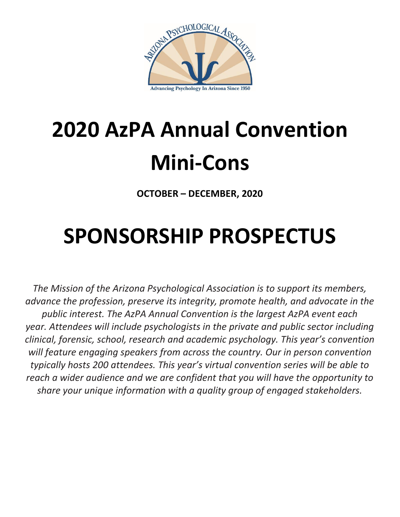

# **2020 AzPA Annual Convention Mini-Cons**

**OCTOBER – DECEMBER, 2020**

## **SPONSORSHIP PROSPECTUS**

*The Mission of the Arizona Psychological Association is to support its members, advance the profession, preserve its integrity, promote health, and advocate in the public interest. The AzPA Annual Convention is the largest AzPA event each year. Attendees will include psychologists in the private and public sector including clinical, forensic, school, research and academic psychology. This year's convention will feature engaging speakers from across the country. Our in person convention typically hosts 200 attendees. This year's virtual convention series will be able to reach a wider audience and we are confident that you will have the opportunity to share your unique information with a quality group of engaged stakeholders.*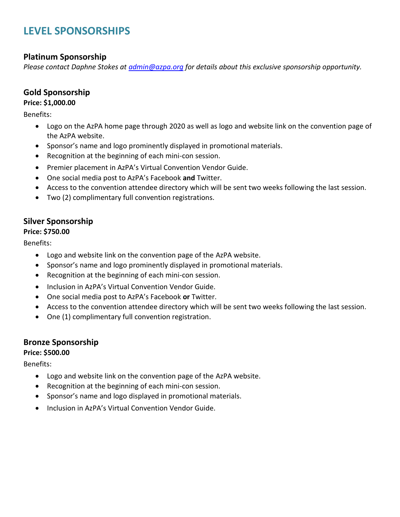## **LEVEL SPONSORSHIPS**

## **Platinum Sponsorship**

*Please contact Daphne Stokes at [admin@azpa.org](mailto:admin@azpa.org) for details about this exclusive sponsorship opportunity.* 

### **Gold Sponsorship**

#### **Price: \$1,000.00**

Benefits:

- Logo on the AzPA home page through 2020 as well as logo and website link on the convention page of the AzPA website.
- Sponsor's name and logo prominently displayed in promotional materials.
- Recognition at the beginning of each mini-con session.
- Premier placement in AzPA's Virtual Convention Vendor Guide.
- One social media post to AzPA's Facebook **and** Twitter.
- Access to the convention attendee directory which will be sent two weeks following the last session.
- Two (2) complimentary full convention registrations.

## **Silver Sponsorship**

#### **Price: \$750.00**

Benefits:

- Logo and website link on the convention page of the AzPA website.
- Sponsor's name and logo prominently displayed in promotional materials.
- Recognition at the beginning of each mini-con session.
- Inclusion in AzPA's Virtual Convention Vendor Guide.
- One social media post to AzPA's Facebook **or** Twitter.
- Access to the convention attendee directory which will be sent two weeks following the last session.
- One (1) complimentary full convention registration.

## **Bronze Sponsorship**

#### **Price: \$500.00**

Benefits:

- Logo and website link on the convention page of the AzPA website.
- Recognition at the beginning of each mini-con session.
- Sponsor's name and logo displayed in promotional materials.
- Inclusion in AzPA's Virtual Convention Vendor Guide.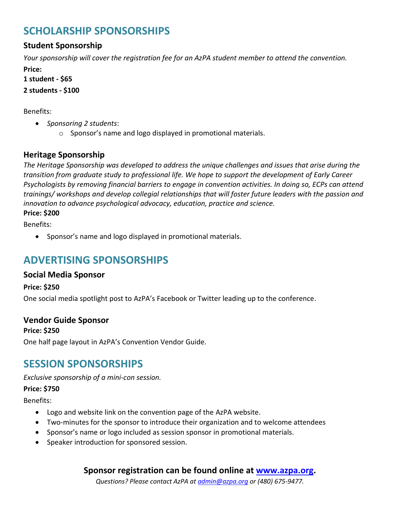## **SCHOLARSHIP SPONSORSHIPS**

## **Student Sponsorship**

*Your sponsorship will cover the registration fee for an AzPA student member to attend the convention.*

**Price:** 

**1 student - \$65**

**2 students - \$100**

Benefits:

- *Sponsoring 2 students*:
	- o Sponsor's name and logo displayed in promotional materials.

## **Heritage Sponsorship**

*The Heritage Sponsorship was developed to address the unique challenges and issues that arise during the transition from graduate study to professional life. We hope to support the development of Early Career Psychologists by removing financial barriers to engage in convention activities. In doing so, ECPs can attend trainings/ workshops and develop collegial relationships that will foster future leaders with the passion and innovation to advance psychological advocacy, education, practice and science.*

**Price: \$200**

Benefits:

• Sponsor's name and logo displayed in promotional materials.

## **ADVERTISING SPONSORSHIPS**

## **Social Media Sponsor**

**Price: \$250**

One social media spotlight post to AzPA's Facebook or Twitter leading up to the conference.

## **Vendor Guide Sponsor**

**Price: \$250**

One half page layout in AzPA's Convention Vendor Guide.

## **SESSION SPONSORSHIPS**

*Exclusive sponsorship of a mini-con session.* 

## **Price: \$750**

Benefits:

- Logo and website link on the convention page of the AzPA website.
- Two-minutes for the sponsor to introduce their organization and to welcome attendees
- Sponsor's name or logo included as session sponsor in promotional materials.
- Speaker introduction for sponsored session.

## **Sponsor registration can be found online at [www.azpa.org.](https://azpa.org/meetinginfo.php?id=46&ts=1595552343)**

*Questions? Please contact AzPA a[t admin@azpa.org](mailto:admin@azpa.org) or (480) 675-9477.*